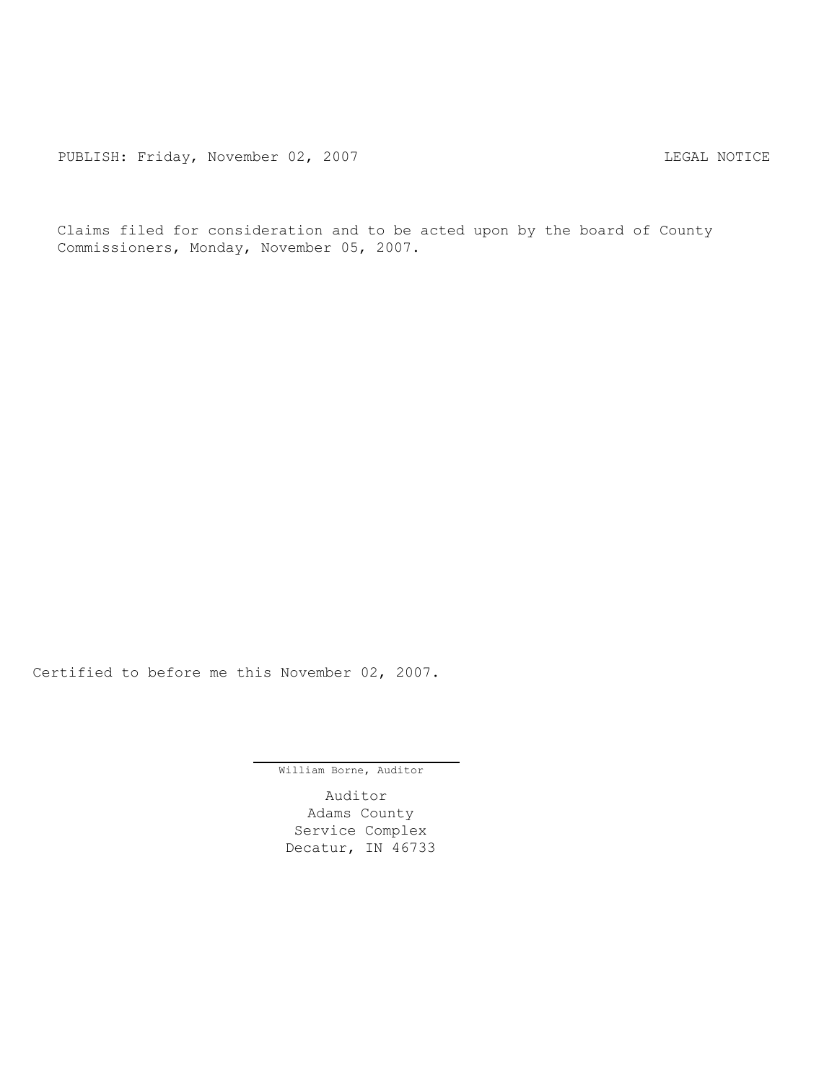Claims filed for consideration and to be acted upon by the board of County Commissioners, Monday, November 05, 2007.

Certified to before me this November 02, 2007.

William Borne, Auditor

Auditor Adams County Service Complex Decatur, IN 46733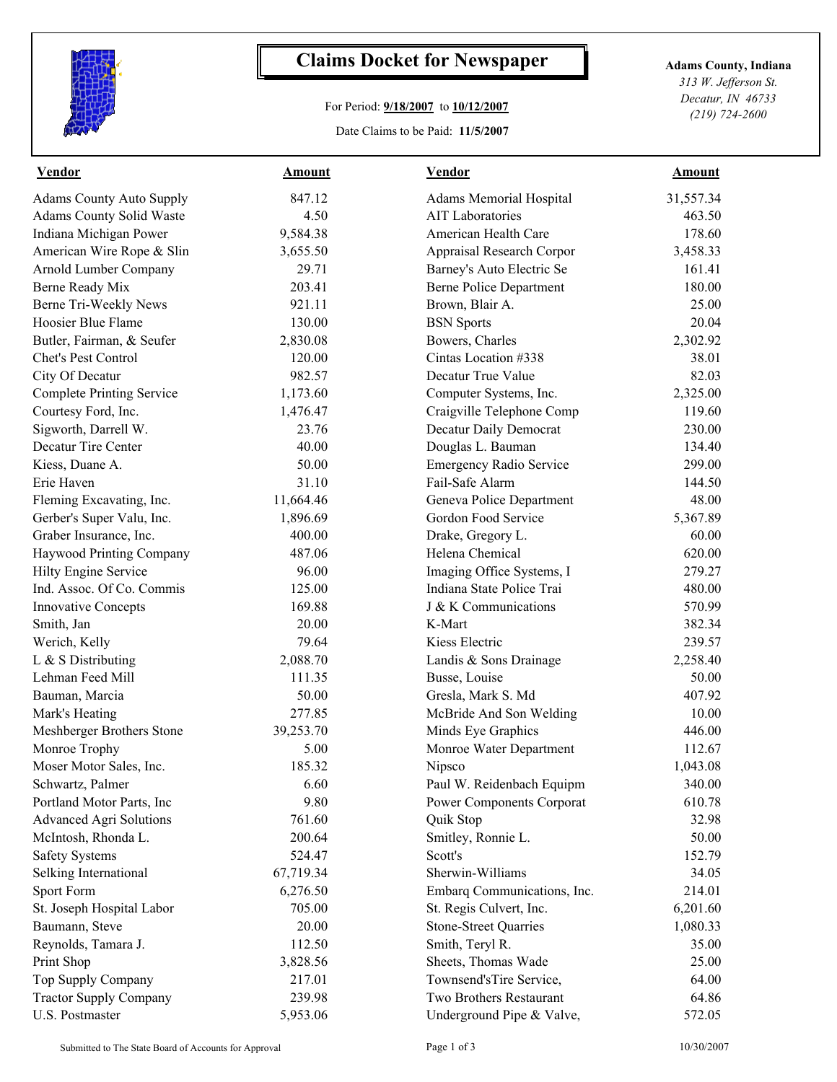

## **Claims Docket for Newspaper Adams County, Indiana**

## For Period: **9/18/2007** to **10/12/2007**

Date Claims to be Paid: **11/5/2007**

*313 W. Jefferson St. Decatur, IN 46733 (219) 724-2600*

| <b>Vendor</b>                    | <b>Amount</b> | <b>Vendor</b>                    | <b>Amount</b> |  |
|----------------------------------|---------------|----------------------------------|---------------|--|
| <b>Adams County Auto Supply</b>  | 847.12        | Adams Memorial Hospital          | 31,557.34     |  |
| Adams County Solid Waste         | 4.50          | <b>AIT Laboratories</b>          | 463.50        |  |
| Indiana Michigan Power           | 9,584.38      | American Health Care             | 178.60        |  |
| American Wire Rope & Slin        | 3,655.50      | Appraisal Research Corpor        | 3,458.33      |  |
| Arnold Lumber Company            | 29.71         | Barney's Auto Electric Se        | 161.41        |  |
| Berne Ready Mix                  | 203.41        | <b>Berne Police Department</b>   | 180.00        |  |
| Berne Tri-Weekly News            | 921.11        | Brown, Blair A.                  | 25.00         |  |
| Hoosier Blue Flame               | 130.00        | <b>BSN</b> Sports                | 20.04         |  |
| Butler, Fairman, & Seufer        | 2,830.08      | Bowers, Charles                  | 2,302.92      |  |
| Chet's Pest Control              | 120.00        | Cintas Location #338             | 38.01         |  |
| City Of Decatur                  | 982.57        | Decatur True Value               | 82.03         |  |
| <b>Complete Printing Service</b> | 1,173.60      | Computer Systems, Inc.           | 2,325.00      |  |
| Courtesy Ford, Inc.              | 1,476.47      | Craigville Telephone Comp        | 119.60        |  |
| Sigworth, Darrell W.             | 23.76         | Decatur Daily Democrat           | 230.00        |  |
| Decatur Tire Center              | 40.00         | Douglas L. Bauman                | 134.40        |  |
| Kiess, Duane A.                  | 50.00         | <b>Emergency Radio Service</b>   | 299.00        |  |
| Erie Haven                       | 31.10         | Fail-Safe Alarm                  | 144.50        |  |
| Fleming Excavating, Inc.         | 11,664.46     | Geneva Police Department         | 48.00         |  |
| Gerber's Super Valu, Inc.        | 1,896.69      | Gordon Food Service              | 5,367.89      |  |
| Graber Insurance, Inc.           | 400.00        | Drake, Gregory L.                | 60.00         |  |
| Haywood Printing Company         | 487.06        | Helena Chemical                  | 620.00        |  |
| Hilty Engine Service             | 96.00         | Imaging Office Systems, I        | 279.27        |  |
| Ind. Assoc. Of Co. Commis        | 125.00        | Indiana State Police Trai        | 480.00        |  |
| <b>Innovative Concepts</b>       | 169.88        | J & K Communications             | 570.99        |  |
| Smith, Jan                       | 20.00         | K-Mart                           | 382.34        |  |
| Werich, Kelly                    | 79.64         | Kiess Electric                   | 239.57        |  |
| L & S Distributing               | 2,088.70      | Landis & Sons Drainage           | 2,258.40      |  |
| Lehman Feed Mill                 | 111.35        | Busse, Louise                    | 50.00         |  |
| Bauman, Marcia                   | 50.00         | Gresla, Mark S. Md               | 407.92        |  |
| Mark's Heating                   | 277.85        | McBride And Son Welding          | 10.00         |  |
| Meshberger Brothers Stone        | 39,253.70     | Minds Eye Graphics               | 446.00        |  |
| Monroe Trophy                    | 5.00          | Monroe Water Department          | 112.67        |  |
| Moser Motor Sales, Inc.          | 185.32        | Nipsco                           | 1,043.08      |  |
| Schwartz, Palmer                 | 6.60          | Paul W. Reidenbach Equipm        | 340.00        |  |
| Portland Motor Parts, Inc        | 9.80          | <b>Power Components Corporat</b> | 610.78        |  |
| <b>Advanced Agri Solutions</b>   | 761.60        | Quik Stop                        | 32.98         |  |
| McIntosh, Rhonda L.              | 200.64        | Smitley, Ronnie L.               | 50.00         |  |
| <b>Safety Systems</b>            | 524.47        | Scott's                          | 152.79        |  |
| Selking International            | 67,719.34     | Sherwin-Williams                 | 34.05         |  |
| Sport Form                       | 6,276.50      | Embarq Communications, Inc.      | 214.01        |  |
| St. Joseph Hospital Labor        | 705.00        | St. Regis Culvert, Inc.          | 6,201.60      |  |
| Baumann, Steve                   | 20.00         | <b>Stone-Street Quarries</b>     | 1,080.33      |  |
| Reynolds, Tamara J.              | 112.50        | Smith, Teryl R.                  | 35.00         |  |
| Print Shop                       | 3,828.56      | Sheets, Thomas Wade              | 25.00         |  |
| Top Supply Company               | 217.01        | Townsend'sTire Service,          | 64.00         |  |
| <b>Tractor Supply Company</b>    | 239.98        | Two Brothers Restaurant          | 64.86         |  |
| U.S. Postmaster                  | 5,953.06      | Underground Pipe & Valve,        | 572.05        |  |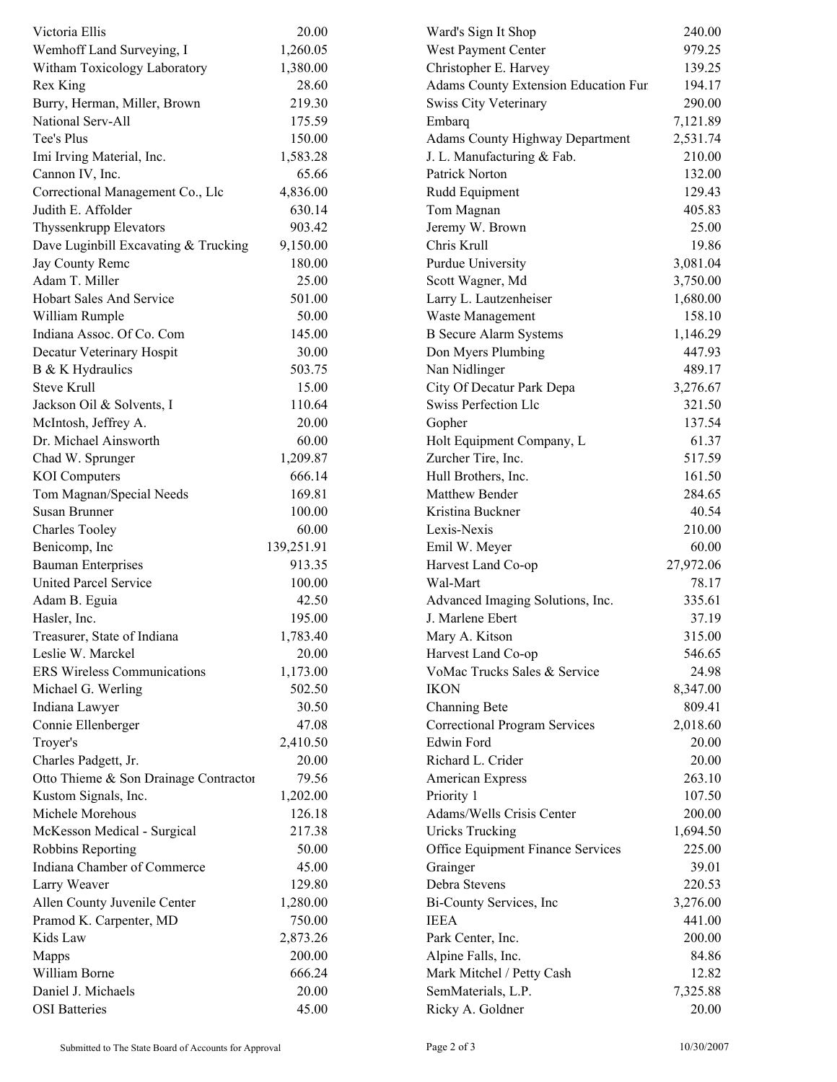| Victoria Ellis                        | 20.00      | Ward's Sign It Shop                  | 240.00    |
|---------------------------------------|------------|--------------------------------------|-----------|
| Wemhoff Land Surveying, I             | 1,260.05   | West Payment Center                  | 979.25    |
| Witham Toxicology Laboratory          | 1,380.00   | Christopher E. Harvey                | 139.25    |
| Rex King                              | 28.60      | Adams County Extension Education Fur | 194.17    |
| Burry, Herman, Miller, Brown          | 219.30     | Swiss City Veterinary                | 290.00    |
| National Serv-All                     | 175.59     | Embarq                               | 7,121.89  |
| Tee's Plus                            | 150.00     | Adams County Highway Department      | 2,531.74  |
| Imi Irving Material, Inc.             | 1,583.28   | J. L. Manufacturing & Fab.           | 210.00    |
| Cannon IV, Inc.                       | 65.66      | Patrick Norton                       | 132.00    |
| Correctional Management Co., Llc      | 4,836.00   | Rudd Equipment                       | 129.43    |
| Judith E. Affolder                    | 630.14     | Tom Magnan                           | 405.83    |
| Thyssenkrupp Elevators                | 903.42     | Jeremy W. Brown                      | 25.00     |
| Dave Luginbill Excavating & Trucking  | 9,150.00   | Chris Krull                          | 19.86     |
| Jay County Remc                       | 180.00     | Purdue University                    | 3,081.04  |
| Adam T. Miller                        | 25.00      | Scott Wagner, Md                     | 3,750.00  |
| Hobart Sales And Service              | 501.00     | Larry L. Lautzenheiser               | 1,680.00  |
| William Rumple                        | 50.00      | Waste Management                     | 158.10    |
| Indiana Assoc. Of Co. Com             | 145.00     | <b>B</b> Secure Alarm Systems        | 1,146.29  |
| Decatur Veterinary Hospit             | 30.00      | Don Myers Plumbing                   | 447.93    |
| B & K Hydraulics                      | 503.75     | Nan Nidlinger                        | 489.17    |
| <b>Steve Krull</b>                    | 15.00      | City Of Decatur Park Depa            | 3,276.67  |
| Jackson Oil & Solvents, I             | 110.64     | <b>Swiss Perfection Llc</b>          | 321.50    |
| McIntosh, Jeffrey A.                  | 20.00      | Gopher                               | 137.54    |
| Dr. Michael Ainsworth                 | 60.00      | Holt Equipment Company, L            | 61.37     |
| Chad W. Sprunger                      | 1,209.87   | Zurcher Tire, Inc.                   | 517.59    |
| <b>KOI</b> Computers                  | 666.14     | Hull Brothers, Inc.                  | 161.50    |
| Tom Magnan/Special Needs              | 169.81     | Matthew Bender                       | 284.65    |
| Susan Brunner                         | 100.00     | Kristina Buckner                     | 40.54     |
| <b>Charles Tooley</b>                 | 60.00      | Lexis-Nexis                          | 210.00    |
| Benicomp, Inc                         | 139,251.91 | Emil W. Meyer                        | 60.00     |
| <b>Bauman Enterprises</b>             | 913.35     | Harvest Land Co-op                   | 27,972.06 |
| United Parcel Service                 | 100.00     | Wal-Mart                             | 78.17     |
| Adam B. Eguia                         | 42.50      | Advanced Imaging Solutions, Inc.     | 335.61    |
| Hasler, Inc.                          | 195.00     | J. Marlene Ebert                     | 37.19     |
|                                       |            |                                      | 315.00    |
| Treasurer, State of Indiana           | 1,783.40   | Mary A. Kitson                       |           |
| Leslie W. Marckel                     | 20.00      | Harvest Land Co-op                   | 546.65    |
| <b>ERS Wireless Communications</b>    | 1,173.00   | VoMac Trucks Sales & Service         | 24.98     |
| Michael G. Werling                    | 502.50     | <b>IKON</b>                          | 8,347.00  |
| Indiana Lawyer                        | 30.50      | Channing Bete                        | 809.41    |
| Connie Ellenberger                    | 47.08      | <b>Correctional Program Services</b> | 2,018.60  |
| Troyer's                              | 2,410.50   | Edwin Ford                           | 20.00     |
| Charles Padgett, Jr.                  | 20.00      | Richard L. Crider                    | 20.00     |
| Otto Thieme & Son Drainage Contractor | 79.56      | American Express                     | 263.10    |
| Kustom Signals, Inc.                  | 1,202.00   | Priority 1                           | 107.50    |
| Michele Morehous                      | 126.18     | Adams/Wells Crisis Center            | 200.00    |
| McKesson Medical - Surgical           | 217.38     | Uricks Trucking                      | 1,694.50  |
| Robbins Reporting                     | 50.00      | Office Equipment Finance Services    | 225.00    |
| Indiana Chamber of Commerce           | 45.00      | Grainger                             | 39.01     |
| Larry Weaver                          | 129.80     | Debra Stevens                        | 220.53    |
| Allen County Juvenile Center          | 1,280.00   | Bi-County Services, Inc.             | 3,276.00  |
| Pramod K. Carpenter, MD               | 750.00     | <b>IEEA</b>                          | 441.00    |
| Kids Law                              | 2,873.26   | Park Center, Inc.                    | 200.00    |
| Mapps                                 | 200.00     | Alpine Falls, Inc.                   | 84.86     |
| William Borne                         | 666.24     | Mark Mitchel / Petty Cash            | 12.82     |
| Daniel J. Michaels                    | 20.00      | SemMaterials, L.P.                   | 7,325.88  |
| <b>OSI</b> Batteries                  | 45.00      | Ricky A. Goldner                     | 20.00     |